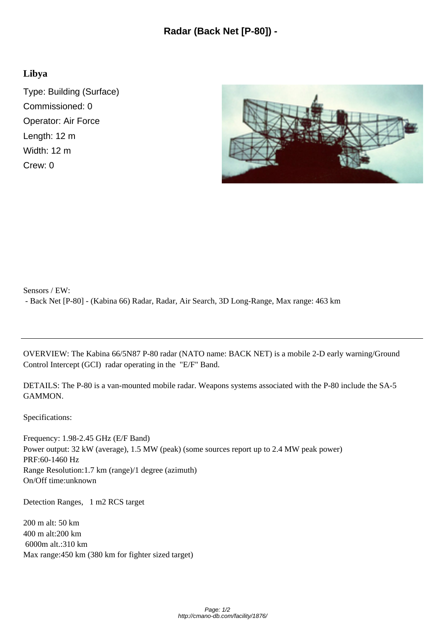## **Libya**

Type: Building (Surface) Commissioned: 0 Operator: Air Force Length: 12 m Width: 12 m Crew: 0



Sensors / EW: - Back Net [P-80] - (Kabina 66) Radar, Radar, Air Search, 3D Long-Range, Max range: 463 km

OVERVIEW: The Kabina 66/5N87 P-80 radar (NATO name: BACK NET) is a mobile 2-D early warning/Ground Control Intercept (GCI) radar operating in the "E/F" Band.

DETAILS: The P-80 is a van-mounted mobile radar. Weapons systems associated with the P-80 include the SA-5 GAMMON.

Specifications:

Frequency: 1.98-2.45 GHz (E/F Band) Power output:  $32 \text{ kW}$  (average), 1.5 MW (peak) (some sources report up to 2.4 MW peak power) PRF: 60-1460 Hz Range Resolution: 1.7 km (range)/1 degree (azimuth) On/Off time: unknown

Detection Ranges, 1 m2 RCS target

 $200 \text{ m}$  alt:  $50 \text{ km}$  400 m alt: 200 km 6000m alt.: 310 km Max range:  $450 \text{ km}$  (380 km for fighter sized target)